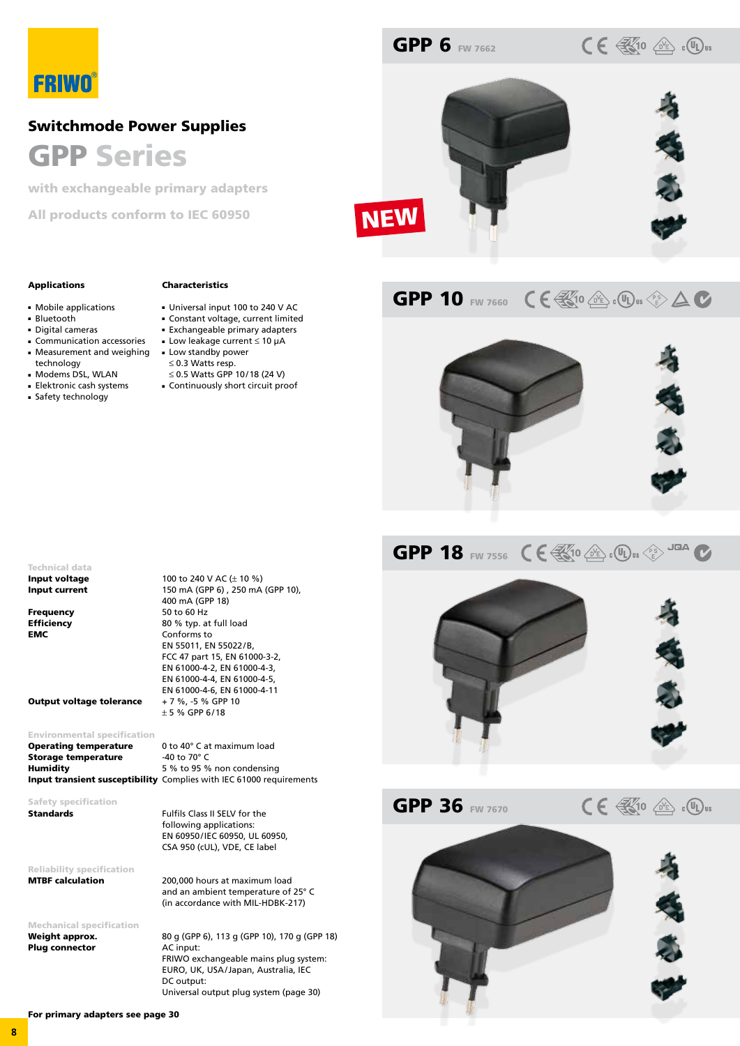# FRIWO

## Switchmode Power Supplies GPP Series

with exchangeable primary adapters

All products conform to IEC 60950



**GPP 6 FW 7662** 

## GPP 10 FW 7660  $\mathsf{CE}$   $\mathbb{E}$  to  $\mathbb{E}$  :  $\mathbb{Q}$  :  $\mathbb{Q}$  is  $\mathbb{E}$   $\Delta$   $\mathbb{C}$

 $CE \nless 10$   $\circledcirc$   $\circledcirc$   $\circledcirc$   $\circledcirc$ 



### GPP 18 FW 7556  $C \in \mathbb{R}$  10  $\mathbb{R}$  of  $(0,0)$  is  $\mathbb{C}$ <sup>5</sup>



**GPP 36 FW 7670** 

 $C \in \mathbb{R}$  to  $\mathbb{R}$  . Our



### Applications

- Mobile applications
- Bluetooth
- Digital cameras
- Communication accessories
- Measurement and weighing technology
- Modems DSL, WLAN
- Elektronic cash systems
- Safety technology
- Exchangeable primary adapters ■ Low leakage current ≤ 10 µA ■ Low standby power ≤ 0.3 Watts resp.

Characteristics

≤ 0.5 Watts GPP 10/18 (24 V)

400 mA (GPP 18)

Conforms to EN 55011, EN 55022/B, FCC 47 part 15, EN 61000-3-2, EN 61000-4-2, EN 61000-4-3, EN 61000-4-4, EN 61000-4-5, EN 61000-4-6, EN 61000-4-11

 $± 5 % GPP 6/18$ 

■ Continuously short circuit proof

■ Universal input 100 to 240 V AC ■ Constant voltage, current limited

Technical data **Input voltage** 100 to 240 V AC  $(\pm 10 \%)$ **Input current** 150 mA (GPP 6), 250 mA (GPP 10),

Frequency 50 to 60 Hz **Efficiency** 80 % typ. at full load<br> **EMC** Conforms to

**Output voltage tolerance** 

### Environmental specification

| <b>Operating temperature</b> | 0 to 40° C at maximum load                                                 |
|------------------------------|----------------------------------------------------------------------------|
| Storage temperature          | -40 to 70 $^{\circ}$ C                                                     |
| <b>Humidity</b>              | 5 % to 95 % non condensing                                                 |
|                              | <b>Input transient susceptibility</b> Complies with IEC 61000 requirements |

Safety specification **Standards** Fulfils Class II SELV for the

following applications: EN 60950/IEC 60950, UL 60950, CSA 950 (cUL), VDE, CE label

Reliability specification MTBF calculation 200,000 hours at maximum load

Mechanical specification Plug connector AC input:

Weight approx. 80 g (GPP 6), 113 g (GPP 10), 170 g (GPP 18) FRIWO exchangeable mains plug system: EURO, UK, USA/Japan, Australia, IEC DC output: Universal output plug system (page 30)

and an ambient temperature of 25° C (in accordance with MIL-HDBK-217)

For primary adapters see page 30